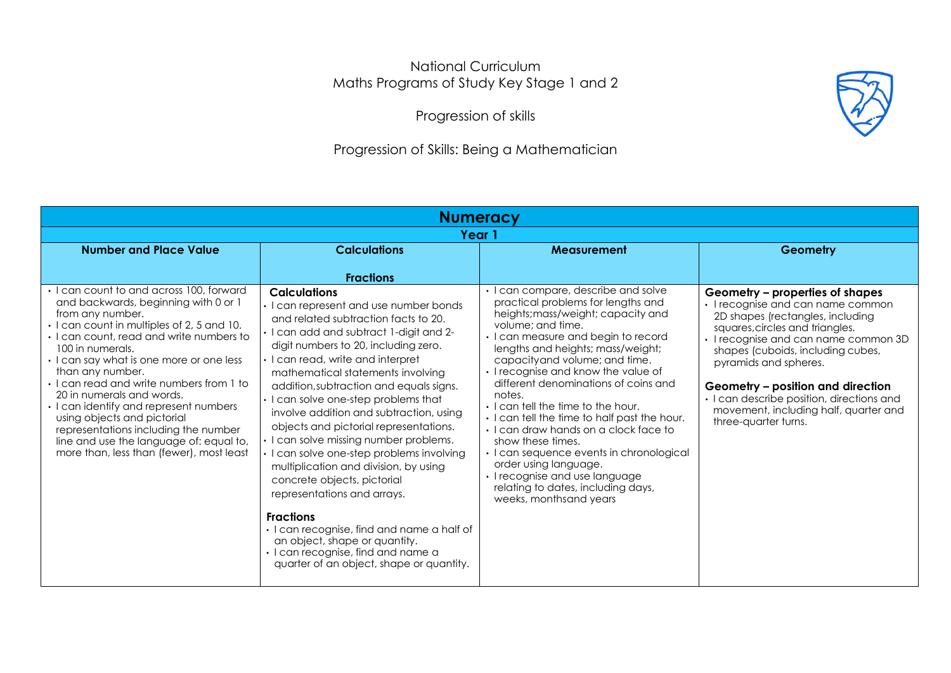## National Curriculum Maths Programs of Study Key Stage 1 and 2

Progression of skills

## Progression of Skills: Being a Mathematician

| <b>Numeracy</b>                                                                                                                                                                                                                                                                                                                                                                                                                                                                                                                                                 |                                                                                                                                                                                                                                                                                                                                                                                                                                                                                                                                                                                                                                                                                                                                                                                                                           |                                                                                                                                                                                                                                                                                                                                                                                                                                                                                                                                                                                                                                                                       |                                                                                                                                                                                                                                                                                                                                                                                                      |  |  |
|-----------------------------------------------------------------------------------------------------------------------------------------------------------------------------------------------------------------------------------------------------------------------------------------------------------------------------------------------------------------------------------------------------------------------------------------------------------------------------------------------------------------------------------------------------------------|---------------------------------------------------------------------------------------------------------------------------------------------------------------------------------------------------------------------------------------------------------------------------------------------------------------------------------------------------------------------------------------------------------------------------------------------------------------------------------------------------------------------------------------------------------------------------------------------------------------------------------------------------------------------------------------------------------------------------------------------------------------------------------------------------------------------------|-----------------------------------------------------------------------------------------------------------------------------------------------------------------------------------------------------------------------------------------------------------------------------------------------------------------------------------------------------------------------------------------------------------------------------------------------------------------------------------------------------------------------------------------------------------------------------------------------------------------------------------------------------------------------|------------------------------------------------------------------------------------------------------------------------------------------------------------------------------------------------------------------------------------------------------------------------------------------------------------------------------------------------------------------------------------------------------|--|--|
| Year 1                                                                                                                                                                                                                                                                                                                                                                                                                                                                                                                                                          |                                                                                                                                                                                                                                                                                                                                                                                                                                                                                                                                                                                                                                                                                                                                                                                                                           |                                                                                                                                                                                                                                                                                                                                                                                                                                                                                                                                                                                                                                                                       |                                                                                                                                                                                                                                                                                                                                                                                                      |  |  |
| <b>Number and Place Value</b><br><b>Calculations</b>                                                                                                                                                                                                                                                                                                                                                                                                                                                                                                            |                                                                                                                                                                                                                                                                                                                                                                                                                                                                                                                                                                                                                                                                                                                                                                                                                           | Measurement                                                                                                                                                                                                                                                                                                                                                                                                                                                                                                                                                                                                                                                           | Geometry                                                                                                                                                                                                                                                                                                                                                                                             |  |  |
|                                                                                                                                                                                                                                                                                                                                                                                                                                                                                                                                                                 | <b>Fractions</b>                                                                                                                                                                                                                                                                                                                                                                                                                                                                                                                                                                                                                                                                                                                                                                                                          |                                                                                                                                                                                                                                                                                                                                                                                                                                                                                                                                                                                                                                                                       |                                                                                                                                                                                                                                                                                                                                                                                                      |  |  |
| I can count to and across 100, forward<br>and backwards, beginning with 0 or 1<br>from any number.<br>· I can count in multiples of 2, 5 and 10.<br>· I can count, read and write numbers to<br>100 in numerals.<br>· I can say what is one more or one less<br>than any number.<br>. I can read and write numbers from 1 to<br>20 in numerals and words.<br>I can identify and represent numbers<br>using objects and pictorial<br>representations including the number<br>line and use the language of: equal to,<br>more than, less than (fewer), most least | <b>Calculations</b><br>· I can represent and use number bonds<br>and related subtraction facts to 20.<br>I can add and subtract 1-digit and 2-<br>digit numbers to 20, including zero.<br>· I can read, write and interpret<br>mathematical statements involving<br>addition, subtraction and equals signs.<br>I can solve one-step problems that<br>involve addition and subtraction, using<br>objects and pictorial representations.<br>· I can solve missing number problems.<br>· I can solve one-step problems involving<br>multiplication and division, by using<br>concrete objects, pictorial<br>representations and arrays.<br><b>Fractions</b><br>· I can recognise, find and name a half of<br>an object, shape or quantity.<br>· I can recognise, find and name a<br>quarter of an object, shape or quantity. | • I can compare, describe and solve<br>practical problems for lengths and<br>heights; mass/weight; capacity and<br>volume; and time.<br>• I can measure and begin to record<br>lengths and heights; mass/weight;<br>capacityand volume; and time.<br>• I recognise and know the value of<br>different denominations of coins and<br>notes.<br>• I can tell the time to the hour.<br>• I can tell the time to half past the hour.<br>. I can draw hands on a clock face to<br>show these times.<br>· I can sequence events in chronological<br>order using language.<br>· I recognise and use language<br>relating to dates, including days,<br>weeks, monthsand years | Geometry – properties of shapes<br>• I recognise and can name common<br>2D shapes (rectangles, including<br>squares, circles and triangles.<br>• I recognise and can name common 3D<br>shapes (cuboids, including cubes,<br>pyramids and spheres.<br>Geometry - position and direction<br>· I can describe position, directions and<br>movement, including half, quarter and<br>three-quarter turns. |  |  |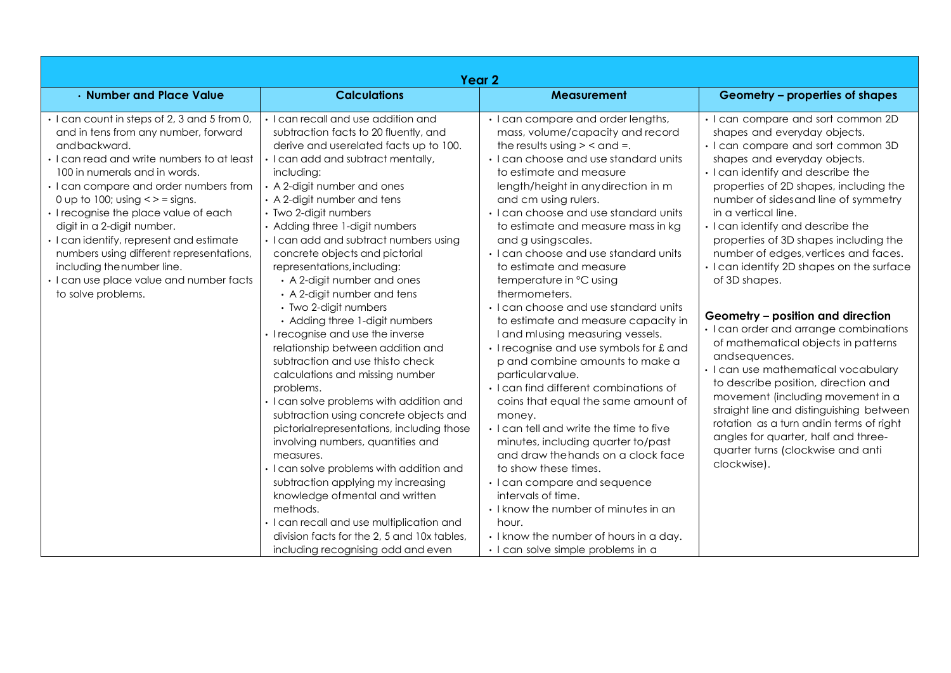| Year <sub>2</sub>                                                                                                                                                                                                                                                                                                                                                                                                                                                                                                                   |                                                                                                                                                                                                                                                                                                                                                                                                                                                                                                                                                                                                                                                                                                                                                                                                                                                                                                                                                                                                                                                                                                                                                |                                                                                                                                                                                                                                                                                                                                                                                                                                                                                                                                                                                                                                                                                                                                                                                                                                                                                                                                                                                                                                                                                                                         |                                                                                                                                                                                                                                                                                                                                                                                                                                                                                                                                                                                                                                                                                                                                                                                                                                                                                                                         |  |
|-------------------------------------------------------------------------------------------------------------------------------------------------------------------------------------------------------------------------------------------------------------------------------------------------------------------------------------------------------------------------------------------------------------------------------------------------------------------------------------------------------------------------------------|------------------------------------------------------------------------------------------------------------------------------------------------------------------------------------------------------------------------------------------------------------------------------------------------------------------------------------------------------------------------------------------------------------------------------------------------------------------------------------------------------------------------------------------------------------------------------------------------------------------------------------------------------------------------------------------------------------------------------------------------------------------------------------------------------------------------------------------------------------------------------------------------------------------------------------------------------------------------------------------------------------------------------------------------------------------------------------------------------------------------------------------------|-------------------------------------------------------------------------------------------------------------------------------------------------------------------------------------------------------------------------------------------------------------------------------------------------------------------------------------------------------------------------------------------------------------------------------------------------------------------------------------------------------------------------------------------------------------------------------------------------------------------------------------------------------------------------------------------------------------------------------------------------------------------------------------------------------------------------------------------------------------------------------------------------------------------------------------------------------------------------------------------------------------------------------------------------------------------------------------------------------------------------|-------------------------------------------------------------------------------------------------------------------------------------------------------------------------------------------------------------------------------------------------------------------------------------------------------------------------------------------------------------------------------------------------------------------------------------------------------------------------------------------------------------------------------------------------------------------------------------------------------------------------------------------------------------------------------------------------------------------------------------------------------------------------------------------------------------------------------------------------------------------------------------------------------------------------|--|
| • Number and Place Value                                                                                                                                                                                                                                                                                                                                                                                                                                                                                                            | <b>Calculations</b>                                                                                                                                                                                                                                                                                                                                                                                                                                                                                                                                                                                                                                                                                                                                                                                                                                                                                                                                                                                                                                                                                                                            | <b>Measurement</b>                                                                                                                                                                                                                                                                                                                                                                                                                                                                                                                                                                                                                                                                                                                                                                                                                                                                                                                                                                                                                                                                                                      | Geometry – properties of shapes                                                                                                                                                                                                                                                                                                                                                                                                                                                                                                                                                                                                                                                                                                                                                                                                                                                                                         |  |
| · I can count in steps of 2, 3 and 5 from 0,<br>and in tens from any number, forward<br>andbackward.<br>· I can read and write numbers to at least<br>100 in numerals and in words.<br>· I can compare and order numbers from<br>0 up to 100; using $\lt$ > = signs.<br>· I recognise the place value of each<br>digit in a 2-digit number.<br>· I can identify, represent and estimate<br>numbers using different representations,<br>including the number line.<br>· I can use place value and number facts<br>to solve problems. | · I can recall and use addition and<br>subtraction facts to 20 fluently, and<br>derive and userelated facts up to 100.<br>I can add and subtract mentally,<br>including:<br>• A 2-digit number and ones<br>A 2-digit number and tens<br>· Two 2-digit numbers<br>Adding three 1-digit numbers<br>I can add and subtract numbers using<br>concrete objects and pictorial<br>representations, including:<br>• A 2-digit number and ones<br>• A 2-digit number and tens<br>• Two 2-digit numbers<br>• Adding three 1-digit numbers<br>I recognise and use the inverse<br>relationship between addition and<br>subtraction and use thisto check<br>calculations and missing number<br>problems.<br>I can solve problems with addition and<br>subtraction using concrete objects and<br>pictorial representations, including those<br>involving numbers, quantities and<br>measures.<br>I can solve problems with addition and<br>subtraction applying my increasing<br>knowledge of mental and written<br>methods.<br>I can recall and use multiplication and<br>division facts for the 2, 5 and 10x tables,<br>including recognising odd and even | • I can compare and order lengths,<br>mass, volume/capacity and record<br>the results using $>$ < and =.<br>· I can choose and use standard units<br>to estimate and measure<br>length/height in any direction in m<br>and cm using rulers.<br>· I can choose and use standard units<br>to estimate and measure mass in kg<br>and g usingscales.<br>• I can choose and use standard units<br>to estimate and measure<br>temperature in °C using<br>thermometers.<br>• I can choose and use standard units<br>to estimate and measure capacity in<br>I and mlusing measuring vessels.<br>· I recognise and use symbols for £ and<br>p and combine amounts to make a<br>particularvalue.<br>· I can find different combinations of<br>coins that equal the same amount of<br>money.<br>. I can tell and write the time to five<br>minutes, including quarter to/past<br>and draw the hands on a clock face<br>to show these times.<br>• I can compare and sequence<br>intervals of time.<br>• I know the number of minutes in an<br>hour.<br>• I know the number of hours in a day.<br>· I can solve simple problems in a | · I can compare and sort common 2D<br>shapes and everyday objects.<br>• I can compare and sort common 3D<br>shapes and everyday objects.<br>• I can identify and describe the<br>properties of 2D shapes, including the<br>number of sides and line of symmetry<br>in a vertical line.<br>• I can identify and describe the<br>properties of 3D shapes including the<br>number of edges, vertices and faces.<br>· I can identify 2D shapes on the surface<br>of 3D shapes.<br>Geometry - position and direction<br>· I can order and arrange combinations<br>of mathematical objects in patterns<br>andsequences.<br>· I can use mathematical vocabulary<br>to describe position, direction and<br>movement (including movement in a<br>straight line and distinguishing between<br>rotation as a turn and in terms of right<br>angles for quarter, half and three-<br>quarter turns (clockwise and anti<br>clockwise). |  |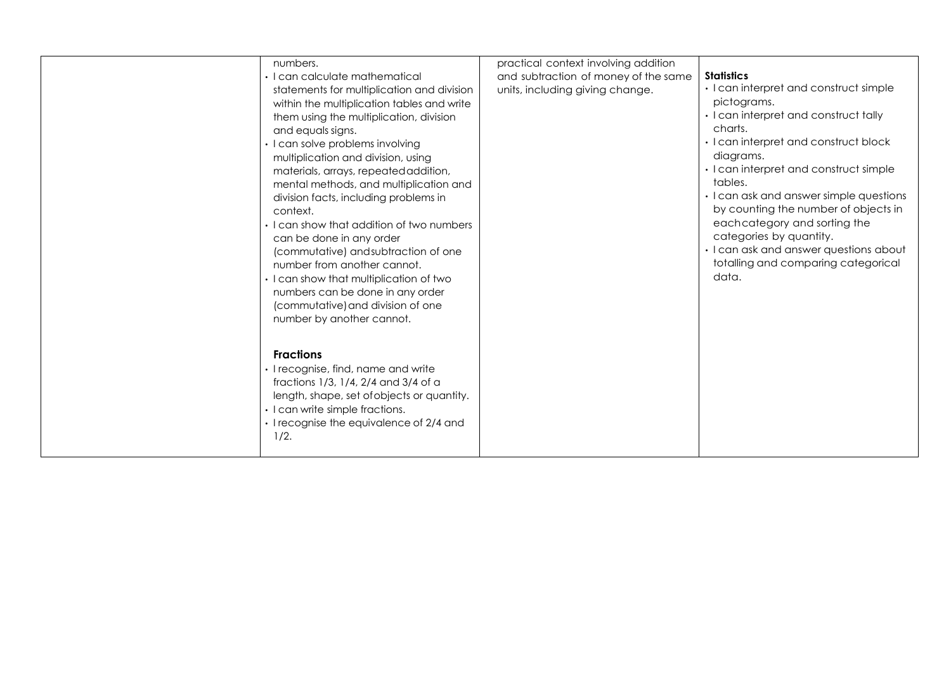| numbers.<br>• I can calculate mathematical<br>statements for multiplication and division<br>within the multiplication tables and write<br>them using the multiplication, division<br>and equals signs.<br>· I can solve problems involving<br>multiplication and division, using<br>materials, arrays, repeated addition,<br>mental methods, and multiplication and<br>division facts, including problems in<br>context.<br>• I can show that addition of two numbers<br>can be done in any order<br>(commutative) and subtraction of one<br>number from another cannot.<br>· I can show that multiplication of two<br>numbers can be done in any order<br>(commutative) and division of one<br>number by another cannot. | practical context involving addition<br>and subtraction of money of the same<br>units, including giving change. | <b>Statistics</b><br>· I can interpret and construct simple<br>pictograms.<br>· I can interpret and construct tally<br>charts.<br>· I can interpret and construct block<br>diagrams.<br>· I can interpret and construct simple<br>tables.<br>• I can ask and answer simple questions<br>by counting the number of objects in<br>eachcategory and sorting the<br>categories by quantity.<br>· I can ask and answer questions about<br>totalling and comparing categorical<br>data. |
|---------------------------------------------------------------------------------------------------------------------------------------------------------------------------------------------------------------------------------------------------------------------------------------------------------------------------------------------------------------------------------------------------------------------------------------------------------------------------------------------------------------------------------------------------------------------------------------------------------------------------------------------------------------------------------------------------------------------------|-----------------------------------------------------------------------------------------------------------------|-----------------------------------------------------------------------------------------------------------------------------------------------------------------------------------------------------------------------------------------------------------------------------------------------------------------------------------------------------------------------------------------------------------------------------------------------------------------------------------|
| <b>Fractions</b><br>· I recognise, find, name and write<br>fractions 1/3, 1/4, 2/4 and 3/4 of a<br>length, shape, set of objects or quantity.<br>· I can write simple fractions.<br>· I recognise the equivalence of 2/4 and<br>1/2.                                                                                                                                                                                                                                                                                                                                                                                                                                                                                      |                                                                                                                 |                                                                                                                                                                                                                                                                                                                                                                                                                                                                                   |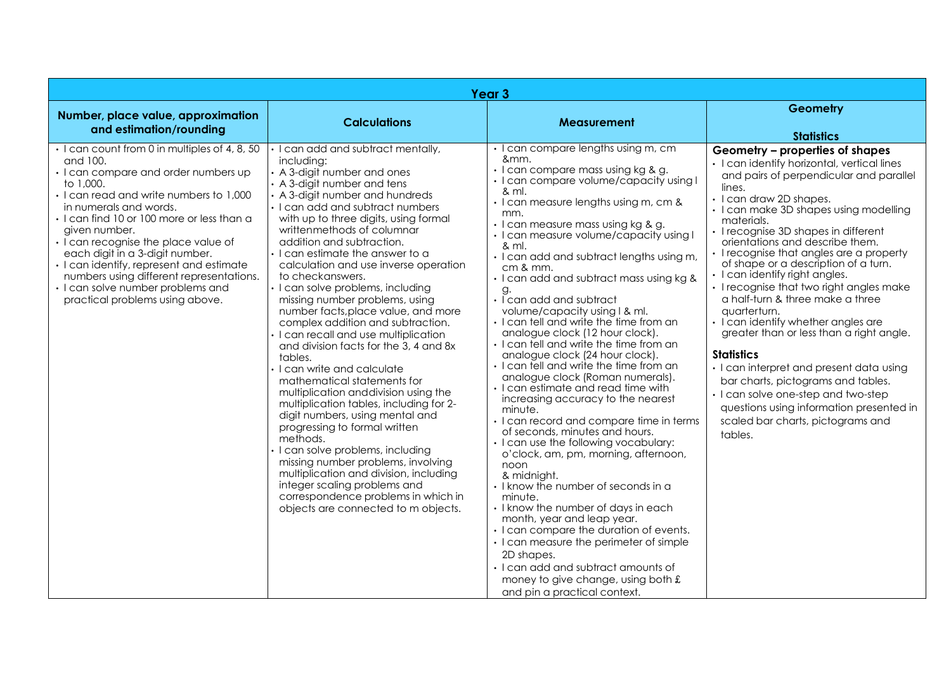|                                                                                                                                                                                                                                                                                                                                                                                                                                                                                               | Year <sub>3</sub>                                                                                                                                                                                                                                                                                                                                                                                                                                                                                                                                                                                                                                                                                                                                                                                                                                                                                                                                                                                                                                                                                    |                                                                                                                                                                                                                                                                                                                                                                                                                                                                                                                                                                                                                                                                                                                                                                                                                                                                                                                                                                                                                                                                                                                                                                                                                                                                                                                             |                                                                                                                                                                                                                                                                                                                                                                                                                                                                                                                                                                                                                                                                                                                                                                                                                                                  |
|-----------------------------------------------------------------------------------------------------------------------------------------------------------------------------------------------------------------------------------------------------------------------------------------------------------------------------------------------------------------------------------------------------------------------------------------------------------------------------------------------|------------------------------------------------------------------------------------------------------------------------------------------------------------------------------------------------------------------------------------------------------------------------------------------------------------------------------------------------------------------------------------------------------------------------------------------------------------------------------------------------------------------------------------------------------------------------------------------------------------------------------------------------------------------------------------------------------------------------------------------------------------------------------------------------------------------------------------------------------------------------------------------------------------------------------------------------------------------------------------------------------------------------------------------------------------------------------------------------------|-----------------------------------------------------------------------------------------------------------------------------------------------------------------------------------------------------------------------------------------------------------------------------------------------------------------------------------------------------------------------------------------------------------------------------------------------------------------------------------------------------------------------------------------------------------------------------------------------------------------------------------------------------------------------------------------------------------------------------------------------------------------------------------------------------------------------------------------------------------------------------------------------------------------------------------------------------------------------------------------------------------------------------------------------------------------------------------------------------------------------------------------------------------------------------------------------------------------------------------------------------------------------------------------------------------------------------|--------------------------------------------------------------------------------------------------------------------------------------------------------------------------------------------------------------------------------------------------------------------------------------------------------------------------------------------------------------------------------------------------------------------------------------------------------------------------------------------------------------------------------------------------------------------------------------------------------------------------------------------------------------------------------------------------------------------------------------------------------------------------------------------------------------------------------------------------|
| Number, place value, approximation                                                                                                                                                                                                                                                                                                                                                                                                                                                            | <b>Calculations</b>                                                                                                                                                                                                                                                                                                                                                                                                                                                                                                                                                                                                                                                                                                                                                                                                                                                                                                                                                                                                                                                                                  | Measurement                                                                                                                                                                                                                                                                                                                                                                                                                                                                                                                                                                                                                                                                                                                                                                                                                                                                                                                                                                                                                                                                                                                                                                                                                                                                                                                 | Geometry                                                                                                                                                                                                                                                                                                                                                                                                                                                                                                                                                                                                                                                                                                                                                                                                                                         |
| and estimation/rounding                                                                                                                                                                                                                                                                                                                                                                                                                                                                       |                                                                                                                                                                                                                                                                                                                                                                                                                                                                                                                                                                                                                                                                                                                                                                                                                                                                                                                                                                                                                                                                                                      |                                                                                                                                                                                                                                                                                                                                                                                                                                                                                                                                                                                                                                                                                                                                                                                                                                                                                                                                                                                                                                                                                                                                                                                                                                                                                                                             | <b>Statistics</b>                                                                                                                                                                                                                                                                                                                                                                                                                                                                                                                                                                                                                                                                                                                                                                                                                                |
| • I can count from 0 in multiples of 4, 8, 50<br>and 100.<br>· I can compare and order numbers up<br>to 1,000.<br>· I can read and write numbers to 1,000<br>in numerals and words.<br>· I can find 10 or 100 more or less than a<br>given number.<br>· I can recognise the place value of<br>each digit in a 3-digit number.<br>· I can identify, represent and estimate<br>numbers using different representations.<br>· I can solve number problems and<br>practical problems using above. | I can add and subtract mentally,<br>including:<br>• A 3-digit number and ones<br>• A 3-digit number and tens<br>• A 3-digit number and hundreds<br>· I can add and subtract numbers<br>with up to three digits, using formal<br>writtenmethods of columnar<br>addition and subtraction.<br>I can estimate the answer to a<br>calculation and use inverse operation<br>to checkanswers.<br>I can solve problems, including<br>missing number problems, using<br>number facts, place value, and more<br>complex addition and subtraction.<br>I can recall and use multiplication<br>and division facts for the 3, 4 and 8x<br>tables.<br>I can write and calculate<br>mathematical statements for<br>multiplication and division using the<br>multiplication tables, including for 2-<br>digit numbers, using mental and<br>progressing to formal written<br>methods.<br>I can solve problems, including<br>missing number problems, involving<br>multiplication and division, including<br>integer scaling problems and<br>correspondence problems in which in<br>objects are connected to m objects. | · I can compare lengths using m, cm<br>&mm.<br>$\cdot$ I can compare mass using kg & g.<br>· I can compare volume/capacity using I<br>& ml.<br>· I can measure lengths using m, cm &<br>mm.<br>· I can measure mass using kg & g.<br>· I can measure volume/capacity using I<br>& ml.<br>· I can add and subtract lengths using m,<br>$cm$ & $mm$ .<br>· I can add and subtract mass using kg &<br>g.<br>· I can add and subtract<br>volume/capacity using I & ml.<br>· I can tell and write the time from an<br>analogue clock (12 hour clock).<br>I can tell and write the time from an<br>analogue clock (24 hour clock).<br>I can fell and write the time from an<br>analogue clock (Roman numerals).<br>· I can estimate and read time with<br>increasing accuracy to the nearest<br>minute.<br>I can record and compare time in terms<br>of seconds, minutes and hours.<br>• I can use the following vocabulary:<br>o'clock, am, pm, morning, afternoon,<br>noon<br>& midnight.<br>• I know the number of seconds in a<br>minute.<br>• I know the number of days in each<br>month, year and leap year.<br>I can compare the duration of events.<br>• I can measure the perimeter of simple<br>2D shapes.<br>· I can add and subtract amounts of<br>money to give change, using both £<br>and pin a practical context. | Geometry - properties of shapes<br>· I can identify horizontal, vertical lines<br>and pairs of perpendicular and parallel<br>lines.<br>· I can draw 2D shapes.<br>• I can make 3D shapes using modelling<br>materials.<br>I recognise 3D shapes in different<br>orientations and describe them.<br>I recognise that angles are a property<br>of shape or a description of a turn.<br>· I can identify right angles.<br>• I recognise that two right angles make<br>a half-turn & three make a three<br>auarterturn.<br>• I can identify whether angles are<br>greater than or less than a right angle.<br><b>Statistics</b><br>· I can interpret and present data using<br>bar charts, pictograms and tables.<br>· I can solve one-step and two-step<br>questions using information presented in<br>scaled bar charts, pictograms and<br>tables. |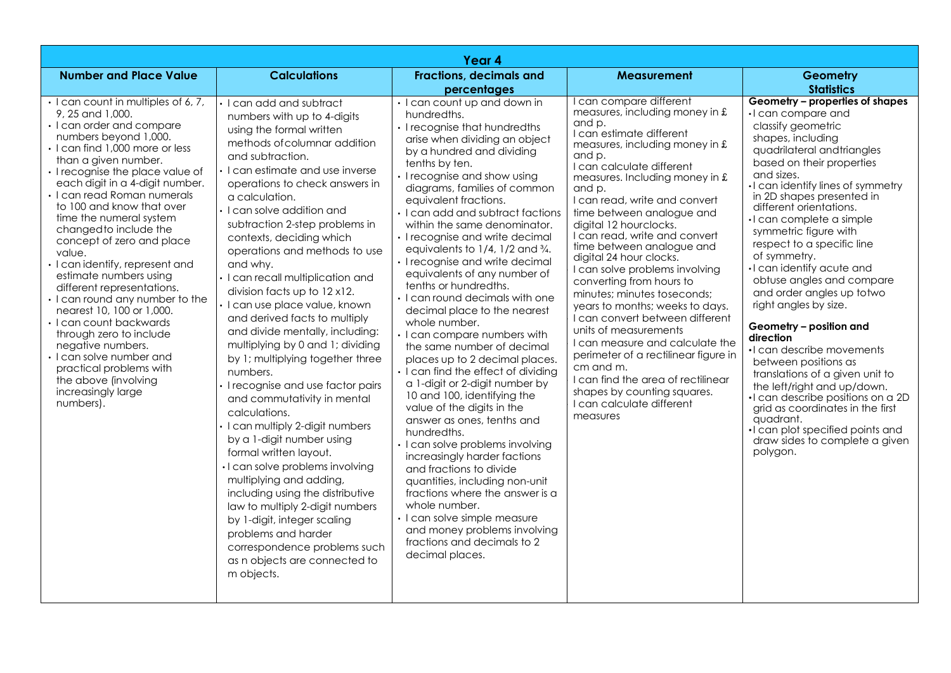|                                                                                                                                                                                                                                                                                                                                                                                                                                                                                                                                                                                                                                                                                                                                                                             |                                                                                                                                                                                                                                                                                                                                                                                                                                                                                                                                                                                                                                                                                                                                                                                                                                                                                                                                                                                                                                                                                                     | Year 4                                                                                                                                                                                                                                                                                                                                                                                                                                                                                                                                                                                                                                                                                                                                                                                                                                                                                                                                                                                                                                                                                                                                                                                          |                                                                                                                                                                                                                                                                                                                                                                                                                                                                                                                                                                                                                                                                                                                                                                                                             |                                                                                                                                                                                                                                                                                                                                                                                                                                                                                                                                                                                                                                                                                                                                                                                                                                   |
|-----------------------------------------------------------------------------------------------------------------------------------------------------------------------------------------------------------------------------------------------------------------------------------------------------------------------------------------------------------------------------------------------------------------------------------------------------------------------------------------------------------------------------------------------------------------------------------------------------------------------------------------------------------------------------------------------------------------------------------------------------------------------------|-----------------------------------------------------------------------------------------------------------------------------------------------------------------------------------------------------------------------------------------------------------------------------------------------------------------------------------------------------------------------------------------------------------------------------------------------------------------------------------------------------------------------------------------------------------------------------------------------------------------------------------------------------------------------------------------------------------------------------------------------------------------------------------------------------------------------------------------------------------------------------------------------------------------------------------------------------------------------------------------------------------------------------------------------------------------------------------------------------|-------------------------------------------------------------------------------------------------------------------------------------------------------------------------------------------------------------------------------------------------------------------------------------------------------------------------------------------------------------------------------------------------------------------------------------------------------------------------------------------------------------------------------------------------------------------------------------------------------------------------------------------------------------------------------------------------------------------------------------------------------------------------------------------------------------------------------------------------------------------------------------------------------------------------------------------------------------------------------------------------------------------------------------------------------------------------------------------------------------------------------------------------------------------------------------------------|-------------------------------------------------------------------------------------------------------------------------------------------------------------------------------------------------------------------------------------------------------------------------------------------------------------------------------------------------------------------------------------------------------------------------------------------------------------------------------------------------------------------------------------------------------------------------------------------------------------------------------------------------------------------------------------------------------------------------------------------------------------------------------------------------------------|-----------------------------------------------------------------------------------------------------------------------------------------------------------------------------------------------------------------------------------------------------------------------------------------------------------------------------------------------------------------------------------------------------------------------------------------------------------------------------------------------------------------------------------------------------------------------------------------------------------------------------------------------------------------------------------------------------------------------------------------------------------------------------------------------------------------------------------|
| <b>Number and Place Value</b>                                                                                                                                                                                                                                                                                                                                                                                                                                                                                                                                                                                                                                                                                                                                               | <b>Calculations</b>                                                                                                                                                                                                                                                                                                                                                                                                                                                                                                                                                                                                                                                                                                                                                                                                                                                                                                                                                                                                                                                                                 | <b>Fractions, decimals and</b><br>percentages                                                                                                                                                                                                                                                                                                                                                                                                                                                                                                                                                                                                                                                                                                                                                                                                                                                                                                                                                                                                                                                                                                                                                   | Measurement                                                                                                                                                                                                                                                                                                                                                                                                                                                                                                                                                                                                                                                                                                                                                                                                 | Geometry<br><b>Statistics</b>                                                                                                                                                                                                                                                                                                                                                                                                                                                                                                                                                                                                                                                                                                                                                                                                     |
| · I can count in multiples of 6, 7,<br>9, 25 and 1,000.<br>• I can order and compare<br>numbers beyond 1,000.<br>• I can find 1,000 more or less<br>than a given number.<br>· I recognise the place value of<br>each digit in a 4-digit number.<br>$\cdot$ I can read Roman numerals<br>to 100 and know that over<br>time the numeral system<br>changed to include the<br>concept of zero and place<br>value.<br>· I can identify, represent and<br>estimate numbers using<br>different representations.<br>· I can round any number to the<br>nearest 10, 100 or 1,000.<br>· I can count backwards<br>through zero to include<br>negative numbers.<br>$\cdot$ I can solve number and<br>practical problems with<br>the above (involving<br>increasingly large<br>numbers). | · I can add and subtract<br>numbers with up to 4-digits<br>using the formal written<br>methods of columnar addition<br>and subtraction.<br>I can estimate and use inverse<br>operations to check answers in<br>a calculation.<br>$\cdot$ I can solve addition and<br>subtraction 2-step problems in<br>contexts, deciding which<br>operations and methods to use<br>and why.<br>· I can recall multiplication and<br>division facts up to 12 x12.<br>I can use place value, known<br>and derived facts to multiply<br>and divide mentally, including:<br>multiplying by 0 and 1; dividing<br>by 1; multiplying together three<br>numbers.<br>I recognise and use factor pairs<br>and commutativity in mental<br>calculations.<br>· I can multiply 2-digit numbers<br>by a 1-digit number using<br>formal written layout.<br>· I can solve problems involving<br>multiplying and adding,<br>including using the distributive<br>law to multiply 2-digit numbers<br>by 1-digit, integer scaling<br>problems and harder<br>correspondence problems such<br>as n objects are connected to<br>m objects. | • I can count up and down in<br>hundredths.<br>• I recognise that hundredths<br>arise when dividing an object<br>by a hundred and dividing<br>tenths by ten.<br>· I recognise and show using<br>diagrams, families of common<br>equivalent fractions.<br>• I can add and subtract factions<br>within the same denominator.<br>• I recognise and write decimal<br>equivalents to $1/4$ , $1/2$ and $\frac{3}{4}$ .<br>· I recognise and write decimal<br>equivalents of any number of<br>tenths or hundredths.<br>$\cdot$ I can round decimals with one<br>decimal place to the nearest<br>whole number.<br>· I can compare numbers with<br>the same number of decimal<br>places up to 2 decimal places.<br>I can find the effect of dividing<br>a 1-digit or 2-digit number by<br>10 and 100, identifying the<br>value of the digits in the<br>answer as ones, tenths and<br>hundredths.<br>· I can solve problems involving<br>increasingly harder factions<br>and fractions to divide<br>quantities, including non-unit<br>fractions where the answer is a<br>whole number.<br>• I can solve simple measure<br>and money problems involving<br>fractions and decimals to 2<br>decimal places. | I can compare different<br>measures, including money in £<br>and p.<br>I can estimate different<br>measures, including money in $f$ .<br>and p.<br>I can calculate different<br>measures. Including money in £<br>and p.<br>I can read, write and convert<br>time between analogue and<br>digital 12 hourclocks.<br>I can read, write and convert<br>time between analogue and<br>digital 24 hour clocks.<br>I can solve problems involving<br>converting from hours to<br>minutes; minutes toseconds;<br>years to months; weeks to days.<br>I can convert between different<br>units of measurements<br>I can measure and calculate the<br>perimeter of a rectilinear figure in<br>cm and m.<br>I can find the area of rectilinear<br>shapes by counting squares.<br>I can calculate different<br>measures | Geometry - properties of shapes<br>·I can compare and<br>classify geometric<br>shapes, including<br>quadrilateral and triangles<br>based on their properties<br>and sizes.<br>I can identify lines of symmetry<br>in 2D shapes presented in<br>different orientations.<br>·I can complete a simple<br>symmetric figure with<br>respect to a specific line<br>of symmetry.<br>·I can identify acute and<br>obtuse angles and compare<br>and order angles up totwo<br>right angles by size.<br>Geometry - position and<br>direction<br>·I can describe movements<br>between positions as<br>translations of a given unit to<br>the left/right and up/down.<br>·I can describe positions on a 2D<br>grid as coordinates in the first<br>quadrant.<br>. I can plot specified points and<br>draw sides to complete a given<br>polygon. |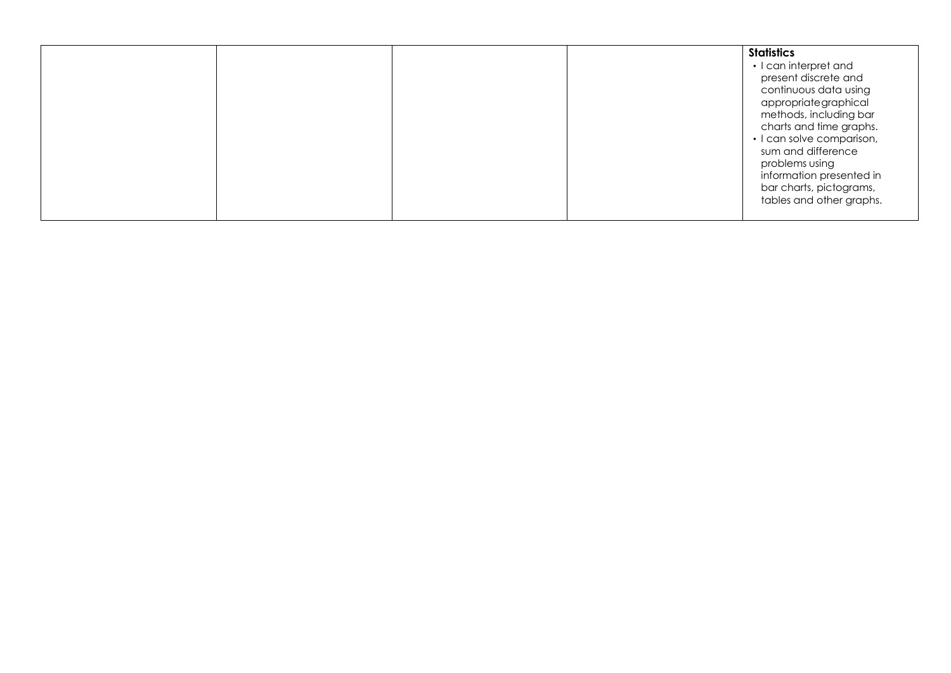|                                      |  |  | <b>Statistics</b><br>• I can interpret and<br>present discrete and<br>continuous data using<br>appropriategraphical                                               |  |
|--------------------------------------|--|--|-------------------------------------------------------------------------------------------------------------------------------------------------------------------|--|
| sum and difference<br>problems using |  |  | methods, including bar<br>charts and time graphs.<br>• I can solve comparison,<br>information presented in<br>bar charts, pictograms,<br>tables and other graphs. |  |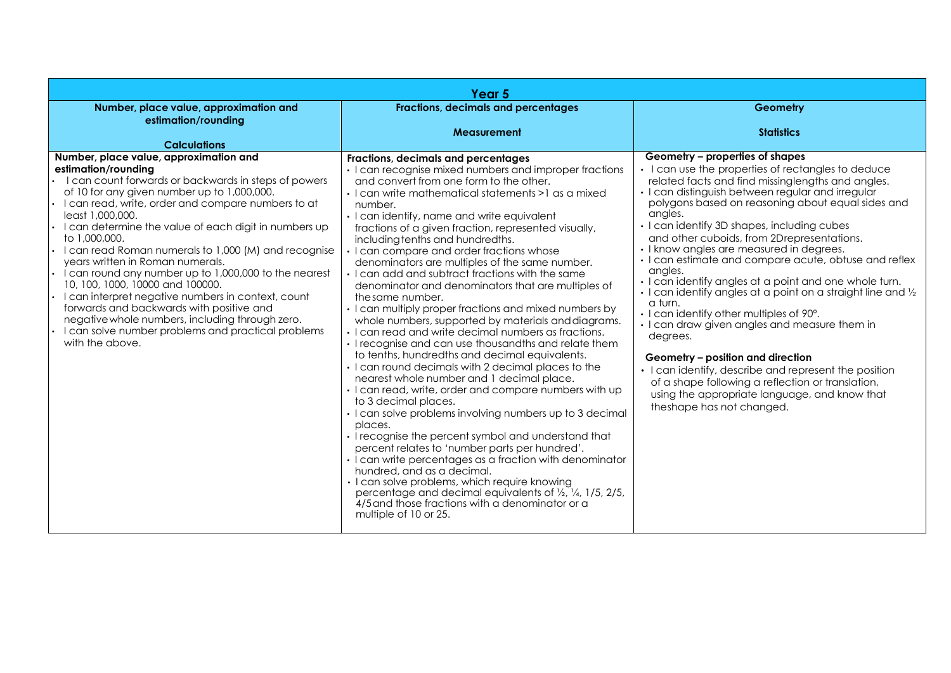| Year <sub>5</sub>                                                                                                                                                                                                                                                                                                                                                                                                                                                                                                                                                                                                                                                                                                                               |                                                                                                                                                                                                                                                                                                                                                                                                                                                                                                                                                                                                                                                                                                                                                                                                                                                                                                                                                                                                                                                                                                                                                                                                                                                                                                                                                                                                                                                                                                                                                         |                                                                                                                                                                                                                                                                                                                                                                                                                                                                                                                                                                                                                                                                                                                                                                                                                                                                                                                                                              |  |  |
|-------------------------------------------------------------------------------------------------------------------------------------------------------------------------------------------------------------------------------------------------------------------------------------------------------------------------------------------------------------------------------------------------------------------------------------------------------------------------------------------------------------------------------------------------------------------------------------------------------------------------------------------------------------------------------------------------------------------------------------------------|---------------------------------------------------------------------------------------------------------------------------------------------------------------------------------------------------------------------------------------------------------------------------------------------------------------------------------------------------------------------------------------------------------------------------------------------------------------------------------------------------------------------------------------------------------------------------------------------------------------------------------------------------------------------------------------------------------------------------------------------------------------------------------------------------------------------------------------------------------------------------------------------------------------------------------------------------------------------------------------------------------------------------------------------------------------------------------------------------------------------------------------------------------------------------------------------------------------------------------------------------------------------------------------------------------------------------------------------------------------------------------------------------------------------------------------------------------------------------------------------------------------------------------------------------------|--------------------------------------------------------------------------------------------------------------------------------------------------------------------------------------------------------------------------------------------------------------------------------------------------------------------------------------------------------------------------------------------------------------------------------------------------------------------------------------------------------------------------------------------------------------------------------------------------------------------------------------------------------------------------------------------------------------------------------------------------------------------------------------------------------------------------------------------------------------------------------------------------------------------------------------------------------------|--|--|
| Number, place value, approximation and<br>estimation/rounding                                                                                                                                                                                                                                                                                                                                                                                                                                                                                                                                                                                                                                                                                   | Fractions, decimals and percentages                                                                                                                                                                                                                                                                                                                                                                                                                                                                                                                                                                                                                                                                                                                                                                                                                                                                                                                                                                                                                                                                                                                                                                                                                                                                                                                                                                                                                                                                                                                     | Geometry                                                                                                                                                                                                                                                                                                                                                                                                                                                                                                                                                                                                                                                                                                                                                                                                                                                                                                                                                     |  |  |
| <b>Calculations</b>                                                                                                                                                                                                                                                                                                                                                                                                                                                                                                                                                                                                                                                                                                                             | Measurement                                                                                                                                                                                                                                                                                                                                                                                                                                                                                                                                                                                                                                                                                                                                                                                                                                                                                                                                                                                                                                                                                                                                                                                                                                                                                                                                                                                                                                                                                                                                             | <b>Statistics</b>                                                                                                                                                                                                                                                                                                                                                                                                                                                                                                                                                                                                                                                                                                                                                                                                                                                                                                                                            |  |  |
| Number, place value, approximation and<br>estimation/rounding<br>I can count forwards or backwards in steps of powers<br>of 10 for any given number up to 1,000,000.<br>I can read, write, order and compare numbers to at<br>least 1,000,000.<br>I can determine the value of each digit in numbers up<br>to 1,000,000.<br>I can read Roman numerals to 1,000 (M) and recognise<br>years written in Roman numerals.<br>I can round any number up to 1,000,000 to the nearest<br>10, 100, 1000, 10000 and 100000.<br>I can interpret negative numbers in context, count<br>forwards and backwards with positive and<br>negative whole numbers, including through zero.<br>I can solve number problems and practical problems<br>with the above. | Fractions, decimals and percentages<br>• I can recognise mixed numbers and improper fractions<br>and convert from one form to the other.<br>· I can write mathematical statements >1 as a mixed<br>number.<br>· I can identify, name and write equivalent<br>fractions of a given fraction, represented visually,<br>including tenths and hundredths.<br>• I can compare and order fractions whose<br>denominators are multiples of the same number.<br>. I can add and subtract fractions with the same<br>denominator and denominators that are multiples of<br>the same number.<br>• I can multiply proper fractions and mixed numbers by<br>whole numbers, supported by materials and diagrams.<br>• I can read and write decimal numbers as fractions.<br>• I recognise and can use thousandths and relate them<br>to tenths, hundredths and decimal equivalents.<br>• I can round decimals with 2 decimal places to the<br>nearest whole number and 1 decimal place.<br>· I can read, write, order and compare numbers with up<br>to 3 decimal places.<br>· I can solve problems involving numbers up to 3 decimal<br>places.<br>• I recognise the percent symbol and understand that<br>percent relates to 'number parts per hundred'.<br>• I can write percentages as a fraction with denominator<br>hundred, and as a decimal.<br>· I can solve problems, which require knowing<br>percentage and decimal equivalents of $\frac{1}{2}$ , $\frac{1}{4}$ , 1/5, 2/5,<br>4/5 and those fractions with a denominator or a<br>multiple of 10 or 25. | Geometry – properties of shapes<br>• I can use the properties of rectangles to deduce<br>related facts and find missinglengths and angles.<br>· I can distinguish between regular and irregular<br>polygons based on reasoning about equal sides and<br>angles.<br>• I can identify 3D shapes, including cubes<br>and other cuboids, from 2Drepresentations.<br>• I know angles are measured in degrees.<br>• I can estimate and compare acute, obtuse and reflex<br>angles.<br>. I can identify angles at a point and one whole turn.<br>· I can identify angles at a point on a straight line and 1/2<br>a turn.<br>· I can identify other multiples of 90°.<br>· I can draw given angles and measure them in<br>degrees.<br>Geometry - position and direction<br>• I can identify, describe and represent the position<br>of a shape following a reflection or translation,<br>using the appropriate language, and know that<br>theshape has not changed. |  |  |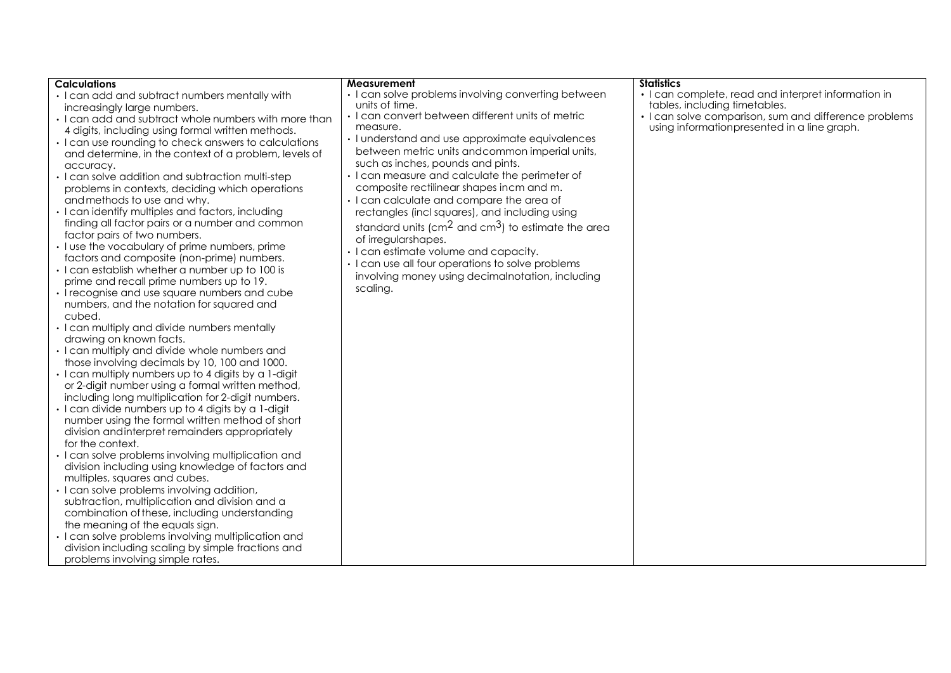| <b>Calculations</b>                                   | Measurement                                             | <b>Statistics</b>                                     |
|-------------------------------------------------------|---------------------------------------------------------|-------------------------------------------------------|
| • I can add and subtract numbers mentally with        | • I can solve problems involving converting between     | • I can complete, read and interpret information in   |
| increasingly large numbers.                           | units of time.                                          | tables, including timetables.                         |
| • I can add and subtract whole numbers with more than | · I can convert between different units of metric       | • I can solve comparison, sum and difference problems |
| 4 digits, including using formal written methods.     | measure.                                                | using information presented in a line graph.          |
| • I can use rounding to check answers to calculations | · I understand and use approximate equivalences         |                                                       |
| and determine, in the context of a problem, levels of | between metric units and common imperial units,         |                                                       |
| accuracy.                                             | such as inches, pounds and pints.                       |                                                       |
| • I can solve addition and subtraction multi-step     | • I can measure and calculate the perimeter of          |                                                       |
| problems in contexts, deciding which operations       | composite rectilinear shapes incm and m.                |                                                       |
| and methods to use and why.                           | · I can calculate and compare the area of               |                                                       |
| · I can identify multiples and factors, including     | rectangles (incl squares), and including using          |                                                       |
| finding all factor pairs or a number and common       |                                                         |                                                       |
| factor pairs of two numbers.                          | standard units ( $cm2$ and $cm3$ ) to estimate the area |                                                       |
| • I use the vocabulary of prime numbers, prime        | of irregularshapes.                                     |                                                       |
| factors and composite (non-prime) numbers.            | • I can estimate volume and capacity.                   |                                                       |
| · I can establish whether a number up to 100 is       | • I can use all four operations to solve problems       |                                                       |
| prime and recall prime numbers up to 19.              | involving money using decimalnotation, including        |                                                       |
| • I recognise and use square numbers and cube         | scaling.                                                |                                                       |
| numbers, and the notation for squared and             |                                                         |                                                       |
| cubed.                                                |                                                         |                                                       |
| · I can multiply and divide numbers mentally          |                                                         |                                                       |
| drawing on known facts.                               |                                                         |                                                       |
| · I can multiply and divide whole numbers and         |                                                         |                                                       |
| those involving decimals by 10, 100 and 1000.         |                                                         |                                                       |
| . I can multiply numbers up to 4 digits by a 1-digit  |                                                         |                                                       |
| or 2-digit number using a formal written method,      |                                                         |                                                       |
| including long multiplication for 2-digit numbers.    |                                                         |                                                       |
| . I can divide numbers up to 4 digits by a 1-digit    |                                                         |                                                       |
| number using the formal written method of short       |                                                         |                                                       |
| division and interpret remainders appropriately       |                                                         |                                                       |
| for the context.                                      |                                                         |                                                       |
| · I can solve problems involving multiplication and   |                                                         |                                                       |
| division including using knowledge of factors and     |                                                         |                                                       |
| multiples, squares and cubes.                         |                                                         |                                                       |
| • I can solve problems involving addition,            |                                                         |                                                       |
| subtraction, multiplication and division and a        |                                                         |                                                       |
| combination of these, including understanding         |                                                         |                                                       |
| the meaning of the equals sign.                       |                                                         |                                                       |
| · I can solve problems involving multiplication and   |                                                         |                                                       |
| division including scaling by simple fractions and    |                                                         |                                                       |
| problems involving simple rates.                      |                                                         |                                                       |
|                                                       |                                                         |                                                       |